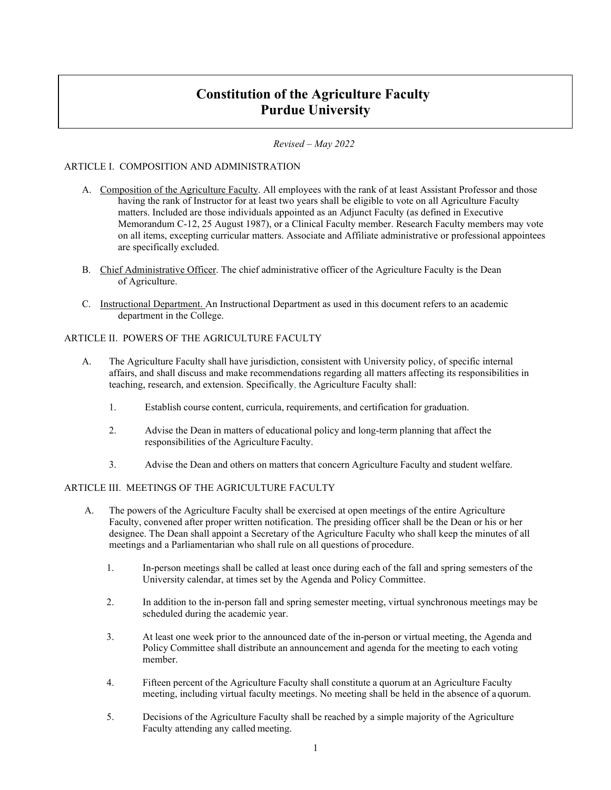# **Constitution of the Agriculture Faculty Purdue University**

# *Revised – May 2022*

## ARTICLE I. COMPOSITION AND ADMINISTRATION

- A. Composition of the Agriculture Faculty. All employees with the rank of at least Assistant Professor and those having the rank of Instructor for at least two years shall be eligible to vote on all Agriculture Faculty matters. Included are those individuals appointed as an Adjunct Faculty (as defined in Executive Memorandum C-12, 25 August 1987), or a Clinical Faculty member. Research Faculty members may vote on all items, excepting curricular matters. Associate and Affiliate administrative or professional appointees are specifically excluded.
- B. Chief Administrative Officer. The chief administrative officer of the Agriculture Faculty is the Dean of Agriculture.
- C. Instructional Department. An Instructional Department as used in this document refers to an academic department in the College.

# ARTICLE II. POWERS OF THE AGRICULTURE FACULTY

- A. The Agriculture Faculty shall have jurisdiction, consistent with University policy, of specific internal affairs, and shall discuss and make recommendations regarding all matters affecting its responsibilities in teaching, research, and extension. Specifically, the Agriculture Faculty shall:
	- 1. Establish course content, curricula, requirements, and certification for graduation.
	- 2. Advise the Dean in matters of educational policy and long-term planning that affect the responsibilities of the Agriculture Faculty.
	- 3. Advise the Dean and others on matters that concern Agriculture Faculty and student welfare.

# ARTICLE III. MEETINGS OF THE AGRICULTURE FACULTY

- A. The powers of the Agriculture Faculty shall be exercised at open meetings of the entire Agriculture Faculty, convened after proper written notification. The presiding officer shall be the Dean or his or her designee. The Dean shall appoint a Secretary of the Agriculture Faculty who shall keep the minutes of all meetings and a Parliamentarian who shall rule on all questions of procedure.
	- 1. In-person meetings shall be called at least once during each of the fall and spring semesters of the University calendar, at times set by the Agenda and Policy Committee.
	- 2. In addition to the in-person fall and spring semester meeting, virtual synchronous meetings may be scheduled during the academic year.
	- 3. At least one week prior to the announced date of the in-person or virtual meeting, the Agenda and Policy Committee shall distribute an announcement and agenda for the meeting to each voting member.
	- 4. Fifteen percent of the Agriculture Faculty shall constitute a quorum at an Agriculture Faculty meeting, including virtual faculty meetings. No meeting shall be held in the absence of a quorum.
	- 5. Decisions of the Agriculture Faculty shall be reached by a simple majority of the Agriculture Faculty attending any called meeting.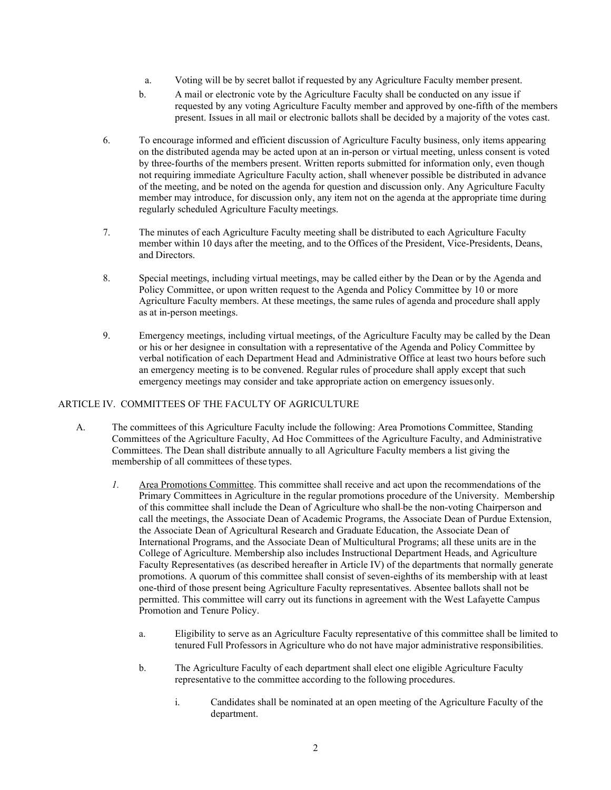- a. Voting will be by secret ballot if requested by any Agriculture Faculty member present.
- b. A mail or electronic vote by the Agriculture Faculty shall be conducted on any issue if requested by any voting Agriculture Faculty member and approved by one-fifth of the members present. Issues in all mail or electronic ballots shall be decided by a majority of the votes cast.
- 6. To encourage informed and efficient discussion of Agriculture Faculty business, only items appearing on the distributed agenda may be acted upon at an in-person or virtual meeting, unless consent is voted by three-fourths of the members present. Written reports submitted for information only, even though not requiring immediate Agriculture Faculty action, shall whenever possible be distributed in advance of the meeting, and be noted on the agenda for question and discussion only. Any Agriculture Faculty member may introduce, for discussion only, any item not on the agenda at the appropriate time during regularly scheduled Agriculture Faculty meetings.
- 7. The minutes of each Agriculture Faculty meeting shall be distributed to each Agriculture Faculty member within 10 days after the meeting, and to the Offices of the President, Vice-Presidents, Deans, and Directors.
- 8. Special meetings, including virtual meetings, may be called either by the Dean or by the Agenda and Policy Committee, or upon written request to the Agenda and Policy Committee by 10 or more Agriculture Faculty members. At these meetings, the same rules of agenda and procedure shall apply as at in-person meetings.
- 9. Emergency meetings, including virtual meetings, of the Agriculture Faculty may be called by the Dean or his or her designee in consultation with a representative of the Agenda and Policy Committee by verbal notification of each Department Head and Administrative Office at least two hours before such an emergency meeting is to be convened. Regular rules of procedure shall apply except that such emergency meetings may consider and take appropriate action on emergency issuesonly.

## ARTICLE IV. COMMITTEES OF THE FACULTY OF AGRICULTURE

- A. The committees of this Agriculture Faculty include the following: Area Promotions Committee, Standing Committees of the Agriculture Faculty, Ad Hoc Committees of the Agriculture Faculty, and Administrative Committees. The Dean shall distribute annually to all Agriculture Faculty members a list giving the membership of all committees of these types.
	- *1.* Area Promotions Committee. This committee shall receive and act upon the recommendations of the Primary Committees in Agriculture in the regular promotions procedure of the University. Membership of this committee shall include the Dean of Agriculture who shall be the non-voting Chairperson and call the meetings, the Associate Dean of Academic Programs, the Associate Dean of Purdue Extension, the Associate Dean of Agricultural Research and Graduate Education, the Associate Dean of International Programs, and the Associate Dean of Multicultural Programs; all these units are in the College of Agriculture. Membership also includes Instructional Department Heads, and Agriculture Faculty Representatives (as described hereafter in Article IV) of the departments that normally generate promotions. A quorum of this committee shall consist of seven-eighths of its membership with at least one-third of those present being Agriculture Faculty representatives. Absentee ballots shall not be permitted. This committee will carry out its functions in agreement with the West Lafayette Campus Promotion and Tenure Policy.
		- a. Eligibility to serve as an Agriculture Faculty representative of this committee shall be limited to tenured Full Professors in Agriculture who do not have major administrative responsibilities.
		- b. The Agriculture Faculty of each department shall elect one eligible Agriculture Faculty representative to the committee according to the following procedures.
			- i. Candidates shall be nominated at an open meeting of the Agriculture Faculty of the department.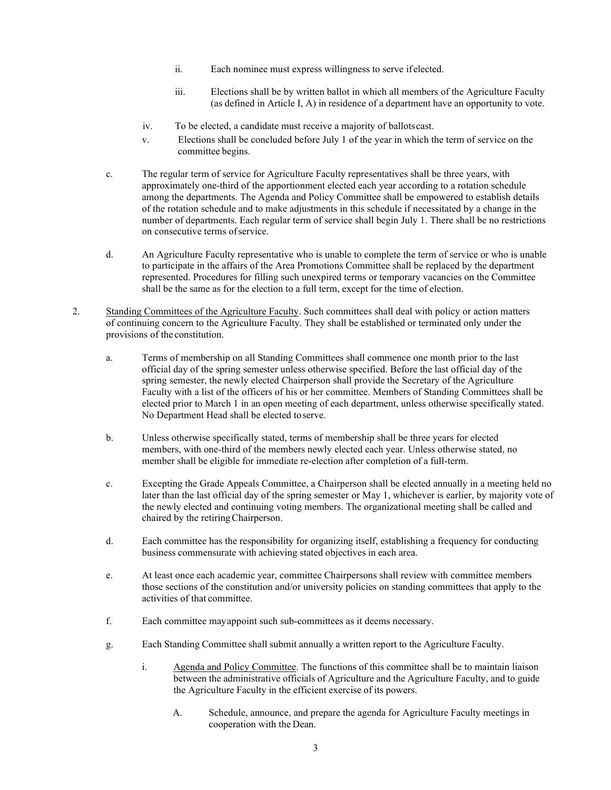- ii. Each nominee must express willingness to serve if elected.
- iii. Elections shall be by written ballot in which all members of the Agriculture Faculty (as defined in Article I, A) in residence of a department have an opportunity to vote.
- iv. To be elected, a candidate must receive a majority of ballotscast.
- v. Elections shall be concluded before July 1 of the year in which the term of service on the committee begins.
- c. The regular term of service for Agriculture Faculty representatives shall be three years, with approximately one-third of the apportionment elected each year according to a rotation schedule among the departments. The Agenda and Policy Committee shall be empowered to establish details of the rotation schedule and to make adjustments in this schedule if necessitated by a change in the number of departments. Each regular term of service shall begin July 1. There shall be no restrictions on consecutive terms ofservice.
- d. An Agriculture Faculty representative who is unable to complete the term of service or who is unable to participate in the affairs of the Area Promotions Committee shall be replaced by the department represented. Procedures for filling such unexpired terms or temporary vacancies on the Committee shall be the same as for the election to a full term, except for the time of election.
- 2. Standing Committees of the Agriculture Faculty. Such committees shall deal with policy or action matters of continuing concern to the Agriculture Faculty. They shall be established or terminated only under the provisions of the constitution.
	- a. Terms of membership on all Standing Committees shall commence one month prior to the last official day of the spring semester unless otherwise specified. Before the last official day of the spring semester, the newly elected Chairperson shall provide the Secretary of the Agriculture Faculty with a list of the officers of his or her committee. Members of Standing Committees shall be elected prior to March 1 in an open meeting of each department, unless otherwise specifically stated. No Department Head shall be elected toserve.
	- b. Unless otherwise specifically stated, terms of membership shall be three years for elected members, with one-third of the members newly elected each year. Unless otherwise stated, no member shall be eligible for immediate re-election after completion of a full-term.
	- c. Excepting the Grade Appeals Committee, a Chairperson shall be elected annually in a meeting held no later than the last official day of the spring semester or May 1, whichever is earlier, by majority vote of the newly elected and continuing voting members. The organizational meeting shall be called and chaired by the retiringChairperson.
	- d. Each committee has the responsibility for organizing itself, establishing a frequency for conducting business commensurate with achieving stated objectives in each area.
	- e. At least once each academic year, committee Chairpersons shall review with committee members those sections of the constitution and/or university policies on standing committees that apply to the activities of that committee.
	- f. Each committee mayappoint such sub-committees as it deems necessary.
	- g. Each Standing Committee shall submit annually a written report to the Agriculture Faculty.
		- i. Agenda and Policy Committee. The functions of this committee shall be to maintain liaison between the administrative officials of Agriculture and the Agriculture Faculty, and to guide the Agriculture Faculty in the efficient exercise of its powers.
			- A. Schedule, announce, and prepare the agenda for Agriculture Faculty meetings in cooperation with the Dean.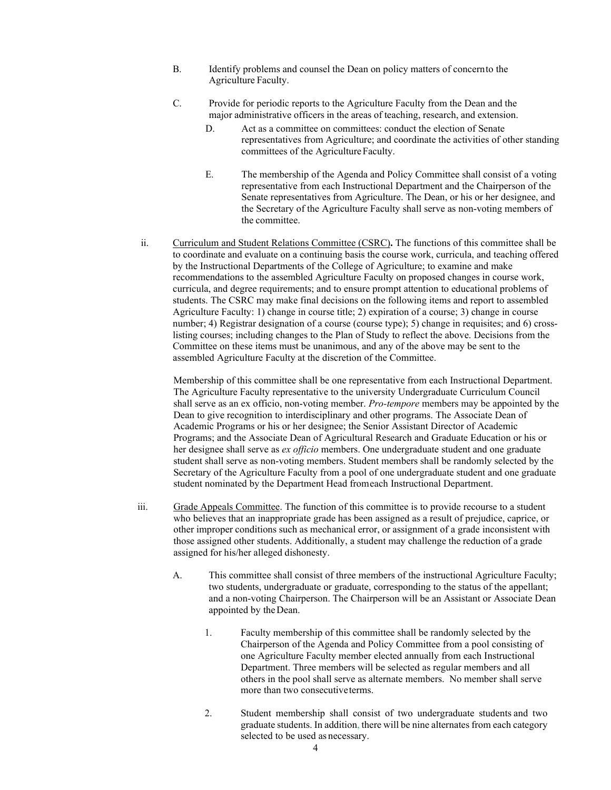- B. Identify problems and counsel the Dean on policy matters of concernto the Agriculture Faculty.
- C. Provide for periodic reports to the Agriculture Faculty from the Dean and the major administrative officers in the areas of teaching, research, and extension.
	- D. Act as a committee on committees: conduct the election of Senate representatives from Agriculture; and coordinate the activities of other standing committees of the Agriculture Faculty.
	- E. The membership of the Agenda and Policy Committee shall consist of a voting representative from each Instructional Department and the Chairperson of the Senate representatives from Agriculture. The Dean, or his or her designee, and the Secretary of the Agriculture Faculty shall serve as non-voting members of the committee.
- ii. Curriculum and Student Relations Committee (CSRC)**.** The functions of this committee shall be to coordinate and evaluate on a continuing basis the course work, curricula, and teaching offered by the Instructional Departments of the College of Agriculture; to examine and make recommendations to the assembled Agriculture Faculty on proposed changes in course work, curricula, and degree requirements; and to ensure prompt attention to educational problems of students. The CSRC may make final decisions on the following items and report to assembled Agriculture Faculty: 1) change in course title; 2) expiration of a course; 3) change in course number; 4) Registrar designation of a course (course type); 5) change in requisites; and 6) crosslisting courses; including changes to the Plan of Study to reflect the above. Decisions from the Committee on these items must be unanimous, and any of the above may be sent to the assembled Agriculture Faculty at the discretion of the Committee.

Membership of this committee shall be one representative from each Instructional Department. The Agriculture Faculty representative to the university Undergraduate Curriculum Council shall serve as an ex officio, non-voting member. *Pro-tempore* members may be appointed by the Dean to give recognition to interdisciplinary and other programs. The Associate Dean of Academic Programs or his or her designee; the Senior Assistant Director of Academic Programs; and the Associate Dean of Agricultural Research and Graduate Education or his or her designee shall serve as *ex officio* members. One undergraduate student and one graduate student shall serve as non-voting members. Student members shall be randomly selected by the Secretary of the Agriculture Faculty from a pool of one undergraduate student and one graduate student nominated by the Department Head fromeach Instructional Department.

- iii. Grade Appeals Committee. The function of this committee is to provide recourse to a student who believes that an inappropriate grade has been assigned as a result of prejudice, caprice, or other improper conditions such as mechanical error, or assignment of a grade inconsistent with those assigned other students. Additionally, a student may challenge the reduction of a grade assigned for his/her alleged dishonesty.
	- A. This committee shall consist of three members of the instructional Agriculture Faculty; two students, undergraduate or graduate, corresponding to the status of the appellant; and a non-voting Chairperson. The Chairperson will be an Assistant or Associate Dean appointed by theDean.
		- 1. Faculty membership of this committee shall be randomly selected by the Chairperson of the Agenda and Policy Committee from a pool consisting of one Agriculture Faculty member elected annually from each Instructional Department. Three members will be selected as regular members and all others in the pool shall serve as alternate members. No member shall serve more than two consecutiveterms.
		- 2. Student membership shall consist of two undergraduate students and two graduate students. In addition, there will be nine alternates from each category selected to be used as necessary.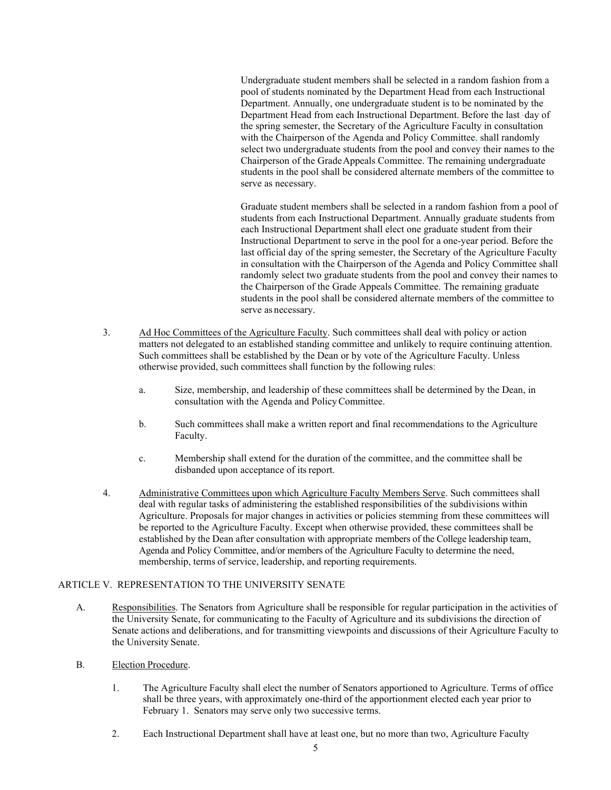Undergraduate student members shall be selected in a random fashion from a pool of students nominated by the Department Head from each Instructional Department. Annually, one undergraduate student is to be nominated by the Department Head from each Instructional Department. Before the last day of the spring semester, the Secretary of the Agriculture Faculty in consultation with the Chairperson of the Agenda and Policy Committee, shall randomly select two undergraduate students from the pool and convey their names to the Chairperson of the GradeAppeals Committee. The remaining undergraduate students in the pool shall be considered alternate members of the committee to serve as necessary.

Graduate student members shall be selected in a random fashion from a pool of students from each Instructional Department. Annually graduate students from each Instructional Department shall elect one graduate student from their Instructional Department to serve in the pool for a one-year period. Before the last official day of the spring semester, the Secretary of the Agriculture Faculty in consultation with the Chairperson of the Agenda and Policy Committee shall randomly select two graduate students from the pool and convey their names to the Chairperson of the Grade Appeals Committee. The remaining graduate students in the pool shall be considered alternate members of the committee to serve as necessary.

- 3. Ad Hoc Committees of the Agriculture Faculty. Such committees shall deal with policy or action matters not delegated to an established standing committee and unlikely to require continuing attention. Such committees shall be established by the Dean or by vote of the Agriculture Faculty. Unless otherwise provided, such committees shall function by the following rules:
	- a. Size, membership, and leadership of these committees shall be determined by the Dean, in consultation with the Agenda and PolicyCommittee.
	- b. Such committees shall make a written report and final recommendations to the Agriculture Faculty.
	- c. Membership shall extend for the duration of the committee, and the committee shall be disbanded upon acceptance of its report.
- 4. Administrative Committees upon which Agriculture Faculty Members Serve. Such committees shall deal with regular tasks of administering the established responsibilities of the subdivisions within Agriculture. Proposals for major changes in activities or policies stemming from these committees will be reported to the Agriculture Faculty. Except when otherwise provided, these committees shall be established by the Dean after consultation with appropriate members of the College leadership team, Agenda and Policy Committee, and/or members of the Agriculture Faculty to determine the need, membership, terms of service, leadership, and reporting requirements.

## ARTICLE V. REPRESENTATION TO THE UNIVERSITY SENATE

- A. Responsibilities. The Senators from Agriculture shall be responsible for regular participation in the activities of the University Senate, for communicating to the Faculty of Agriculture and its subdivisions the direction of Senate actions and deliberations, and for transmitting viewpoints and discussions of their Agriculture Faculty to the University Senate.
- B. Election Procedure.
	- 1. The Agriculture Faculty shall elect the number of Senators apportioned to Agriculture. Terms of office shall be three years, with approximately one-third of the apportionment elected each year prior to February 1. Senators may serve only two successive terms.
	- 2. Each Instructional Department shall have at least one, but no more than two, Agriculture Faculty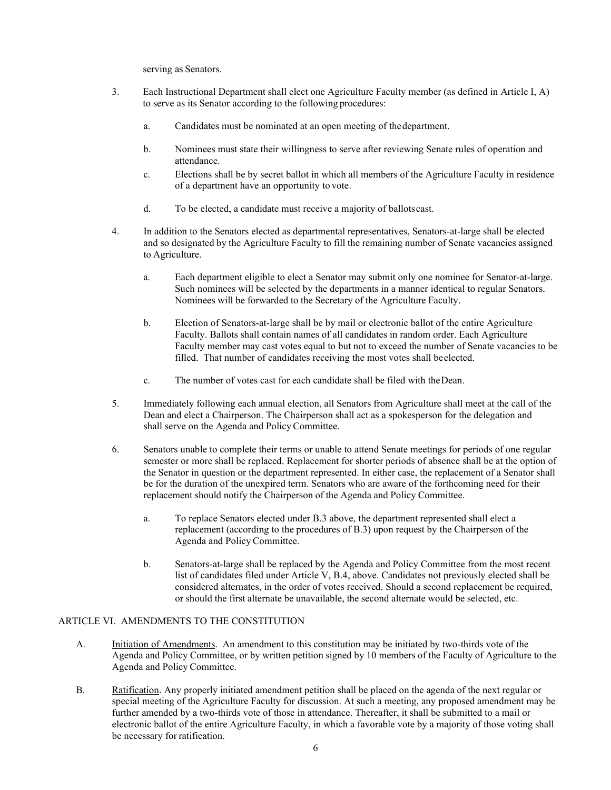serving as Senators.

- 3. Each Instructional Department shall elect one Agriculture Faculty member (as defined in Article I, A) to serve as its Senator according to the following procedures:
	- a. Candidates must be nominated at an open meeting of thedepartment.
	- b. Nominees must state their willingness to serve after reviewing Senate rules of operation and attendance.
	- c. Elections shall be by secret ballot in which all members of the Agriculture Faculty in residence of a department have an opportunity to vote.
	- d. To be elected, a candidate must receive a majority of ballotscast.
- 4. In addition to the Senators elected as departmental representatives, Senators-at-large shall be elected and so designated by the Agriculture Faculty to fill the remaining number of Senate vacancies assigned to Agriculture.
	- a. Each department eligible to elect a Senator may submit only one nominee for Senator-at-large. Such nominees will be selected by the departments in a manner identical to regular Senators. Nominees will be forwarded to the Secretary of the Agriculture Faculty.
	- b. Election of Senators-at-large shall be by mail or electronic ballot of the entire Agriculture Faculty. Ballots shall contain names of all candidates in random order. Each Agriculture Faculty member may cast votes equal to but not to exceed the number of Senate vacancies to be filled. That number of candidates receiving the most votes shall beelected.
	- c. The number of votes cast for each candidate shall be filed with theDean.
- 5. Immediately following each annual election, all Senators from Agriculture shall meet at the call of the Dean and elect a Chairperson. The Chairperson shall act as a spokesperson for the delegation and shall serve on the Agenda and PolicyCommittee.
- 6. Senators unable to complete their terms or unable to attend Senate meetings for periods of one regular semester or more shall be replaced. Replacement for shorter periods of absence shall be at the option of the Senator in question or the department represented. In either case, the replacement of a Senator shall be for the duration of the unexpired term. Senators who are aware of the forthcoming need for their replacement should notify the Chairperson of the Agenda and Policy Committee.
	- a. To replace Senators elected under B.3 above, the department represented shall elect a replacement (according to the procedures of B.3) upon request by the Chairperson of the Agenda and Policy Committee.
	- b. Senators-at-large shall be replaced by the Agenda and Policy Committee from the most recent list of candidates filed under Article V, B.4, above. Candidates not previously elected shall be considered alternates, in the order of votes received. Should a second replacement be required, or should the first alternate be unavailable, the second alternate would be selected, etc.

## ARTICLE VI. AMENDMENTS TO THE CONSTITUTION

- A. Initiation of Amendments. An amendment to this constitution may be initiated by two-thirds vote of the Agenda and Policy Committee, or by written petition signed by 10 members of the Faculty of Agriculture to the Agenda and Policy Committee.
- B. Ratification. Any properly initiated amendment petition shall be placed on the agenda of the next regular or special meeting of the Agriculture Faculty for discussion. At such a meeting, any proposed amendment may be further amended by a two-thirds vote of those in attendance. Thereafter, it shall be submitted to a mail or electronic ballot of the entire Agriculture Faculty, in which a favorable vote by a majority of those voting shall be necessary for ratification.